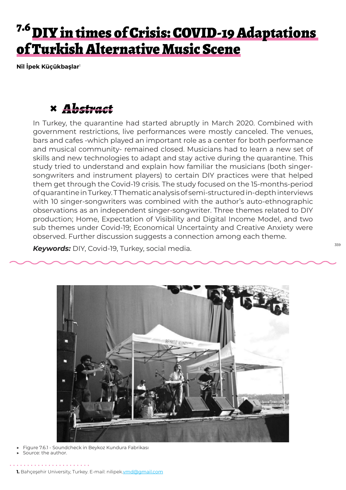# 7.6 DIY in times of Crisis: COVID-19 Adaptations of Turkish Alternative Music Scene

**Nil İpek Küçükbaşlar**<sup>1</sup>

### **×** *Abstract*

In Turkey, the quarantine had started abruptly in March 2020. Combined with government restrictions, live performances were mostly canceled. The venues, bars and cafes -which played an important role as a center for both performance and musical community- remained closed. Musicians had to learn a new set of skills and new technologies to adapt and stay active during the quarantine. This study tried to understand and explain how familiar the musicians (both singersongwriters and instrument players) to certain DIY practices were that helped them get through the Covid-19 crisis. The study focused on the 15-months-period of quarantine in Turkey. T Thematic analysis of semi-structured in-depth interviews with 10 singer-songwriters was combined with the author's auto-ethnographic observations as an independent singer-songwriter. Three themes related to DIY production; Home, Expectation of Visibility and Digital Income Model, and two sub themes under Covid-19; Economical Uncertainty and Creative Anxiety were observed. Further discussion suggests a connection among each theme.

*Keywords:* DIY, Covid-19, Turkey, social media.



- Figure 7.6.1 Soundcheck in Beykoz Kundura Fabrikası
- ▶ Source: the author.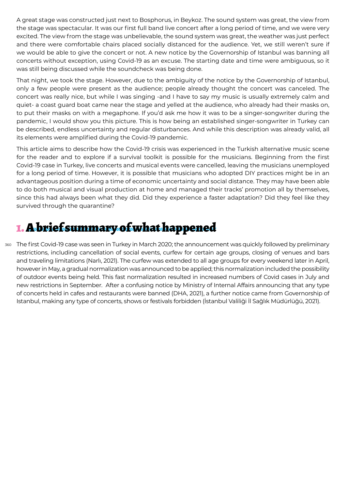A great stage was constructed just next to Bosphorus, in Beykoz. The sound system was great, the view from the stage was spectacular. It was our first full band live concert after a long period of time, and we were very excited. The view from the stage was unbelievable, the sound system was great, the weather was just perfect and there were comfortable chairs placed socially distanced for the audience. Yet, we still weren't sure if we would be able to give the concert or not. A new notice by the Governorship of Istanbul was banning all concerts without exception, using Covid-19 as an excuse. The starting date and time were ambiguous, so it was still being discussed while the soundcheck was being done.

That night, we took the stage. However, due to the ambiguity of the notice by the Governorship of Istanbul, only a few people were present as the audience; people already thought the concert was canceled. The concert was really nice, but while I was singing -and I have to say my music is usually extremely calm and quiet- a coast guard boat came near the stage and yelled at the audience, who already had their masks on, to put their masks on with a megaphone. If you'd ask me how it was to be a singer-songwriter during the pandemic, I would show you this picture. This is how being an established singer-songwriter in Turkey can be described, endless uncertainty and regular disturbances. And while this description was already valid, all its elements were amplified during the Covid-19 pandemic.

This article aims to describe how the Covid-19 crisis was experienced in the Turkish alternative music scene for the reader and to explore if a survival toolkit is possible for the musicians. Beginning from the first Covid-19 case in Turkey, live concerts and musical events were cancelled, leaving the musicians unemployed for a long period of time. However, it is possible that musicians who adopted DIY practices might be in an advantageous position during a time of economic uncertainty and social distance. They may have been able to do both musical and visual production at home and managed their tracks' promotion all by themselves, since this had always been what they did. Did they experience a faster adaptation? Did they feel like they survived through the quarantine?

### 1. A brief summary of what happened

360 The first Covid-19 case was seen in Turkey in March 2020; the announcement was quickly followed by preliminary restrictions, including cancellation of social events, curfew for certain age groups, closing of venues and bars and traveling limitations (Narlı, 2021). The curfew was extended to all age groups for every weekend later in April, however in May, a gradual normalization was announced to be applied; this normalization included the possibility of outdoor events being held. This fast normalization resulted in increased numbers of Covid cases in July and new restrictions in September. After a confusing notice by Ministry of Internal Affairs announcing that any type of concerts held in cafes and restaurants were banned (DHA, 2021), a further notice came from Governorship of Istanbul, making any type of concerts, shows or festivals forbidden (İstanbul Valiliği İl Sağlık Müdürlüğü, 2021).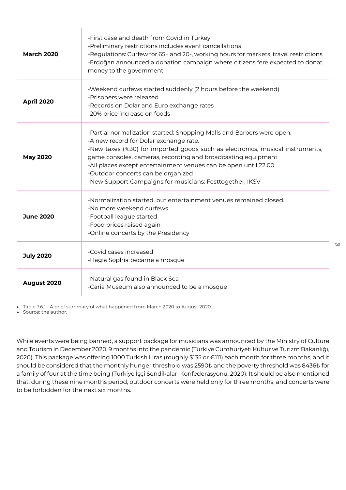| <b>March 2020</b> | -First case and death from Covid in Turkey<br>-Preliminary restrictions includes event cancellations<br>-Regulations: Curfew for 65+ and 20-, working hours for markets, travel restrictions<br>-Erdoğan announced a donation campaign where citizens fere expected to donat<br>money to the government.                                                                                                                              |
|-------------------|---------------------------------------------------------------------------------------------------------------------------------------------------------------------------------------------------------------------------------------------------------------------------------------------------------------------------------------------------------------------------------------------------------------------------------------|
| <b>April 2020</b> | -Weekend curfews started suddenly (2 hours before the weekend)<br>-Prisoners were released<br>-Records on Dolar and Euro exchange rates<br>-20% price increase on foods                                                                                                                                                                                                                                                               |
| <b>May 2020</b>   | -Partial normalization started: Shopping Malls and Barbers were open.<br>-A new record for Dolar exchange rate.<br>-New taxes (%30) for imported goods such as electronics, musical instruments,<br>game consoles, cameras, recording and broadcasting equipment<br>-All places except entertainment venues can be open until 22.00<br>-Outdoor concerts can be organized<br>-New Support Campaigns for musicians: Festtogether, IKSV |
| <b>June 2020</b>  | -Normalization started, but entertainment venues remained closed.<br>-No more weekend curfews<br>-Football league started<br>-Food prices raised again<br>-Online concerts by the Presidency                                                                                                                                                                                                                                          |
| <b>July 2020</b>  | -Covid cases increased<br>-Hagia Sophia became a mosque                                                                                                                                                                                                                                                                                                                                                                               |
| August 2020       | -Natural gas found in Black Sea<br>-Caria Museum also announced to be a mosque                                                                                                                                                                                                                                                                                                                                                        |

▶ Table 7.6.1 - A brief summary of what happened from March 2020 to August 2020

 $\mathbf{I}$ 

▶ Source: the author.

While events were being banned, a support package for musicians was announced by the Ministry of Culture and Tourism in December 2020, 9 months into the pandemic (Türkiye Cumhuriyeti Kültür ve Turizm Bakanlığı, 2020). This package was offering 1000 Turkish Liras (roughly \$135 or €111) each month for three months, and it should be considered that the monthly hunger threshold was 2590₺ and the poverty threshold was 8436₺ for a family of four at the time being (Türkiye İşçi Sendikaları Konfederasyonu, 2020). It should be also mentioned that, during these nine months period, outdoor concerts were held only for three months, and concerts were to be forbidden for the next six months.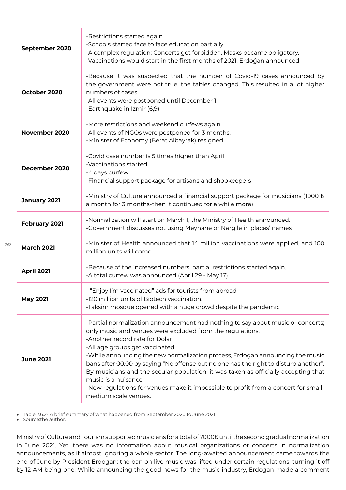| September 2020    | -Restrictions started again<br>-Schools started face to face education partially<br>-A complex regulation: Concerts get forbidden. Masks became obligatory.<br>-Vaccinations would start in the first months of 2021; Erdoğan announced.                                                                                                                                                                                                                                                                                                                                                                              |
|-------------------|-----------------------------------------------------------------------------------------------------------------------------------------------------------------------------------------------------------------------------------------------------------------------------------------------------------------------------------------------------------------------------------------------------------------------------------------------------------------------------------------------------------------------------------------------------------------------------------------------------------------------|
| October 2020      | -Because it was suspected that the number of Covid-19 cases announced by<br>the government were not true, the tables changed. This resulted in a lot higher<br>numbers of cases.<br>-All events were postponed until December 1.<br>-Earthquake in Izmir (6,9)                                                                                                                                                                                                                                                                                                                                                        |
| November 2020     | -More restrictions and weekend curfews again.<br>-All events of NGOs were postponed for 3 months.<br>-Minister of Economy (Berat Albayrak) resigned.                                                                                                                                                                                                                                                                                                                                                                                                                                                                  |
| December 2020     | -Covid case number is 5 times higher than April<br>-Vaccinations started<br>-4 days curfew<br>-Financial support package for artisans and shopkeepers                                                                                                                                                                                                                                                                                                                                                                                                                                                                 |
| January 2021      | -Ministry of Culture announced a financial support package for musicians (1000 $\ell$<br>a month for 3 months-then it continued for a while more)                                                                                                                                                                                                                                                                                                                                                                                                                                                                     |
| February 2021     | -Normalization will start on March 1, the Ministry of Health announced.<br>-Government discusses not using Meyhane or Nargile in places' names                                                                                                                                                                                                                                                                                                                                                                                                                                                                        |
| <b>March 2021</b> | -Minister of Health announced that 14 million vaccinations were applied, and 100<br>million units will come.                                                                                                                                                                                                                                                                                                                                                                                                                                                                                                          |
| <b>April 2021</b> | -Because of the increased numbers, partial restrictions started again.<br>-A total curfew was announced (April 29 - May 17).                                                                                                                                                                                                                                                                                                                                                                                                                                                                                          |
| <b>May 2021</b>   | - "Enjoy I'm vaccinated" ads for tourists from abroad<br>-120 million units of Biotech vaccination.<br>-Taksim mosque opened with a huge crowd despite the pandemic                                                                                                                                                                                                                                                                                                                                                                                                                                                   |
| <b>June 2021</b>  | -Partial normalization announcement had nothing to say about music or concerts;<br>only music and venues were excluded from the regulations.<br>-Another record rate for Dolar<br>-All age groups get vaccinated<br>-While announcing the new normalization process, Erdogan announcing the music<br>bans after 00.00 by saying "No offense but no one has the right to disturb another".<br>By musicians and the secular population, it was taken as officially accepting that<br>music is a nuisance.<br>-New regulations for venues make it impossible to profit from a concert for small-<br>medium scale venues. |

▶ Table 7.6.2- A brief summary of what happened from September 2020 to June 2021

 $\overline{1}$ 

▶ Source:the author.

362

Ministry of Culture and Tourism supported musicians for a total of 7000₺ until the second gradual normalization in June 2021. Yet, there was no information about musical organizations or concerts in normalization announcements, as if almost ignoring a whole sector. The long-awaited announcement came towards the end of June by President Erdogan; the ban on live music was lifted under certain regulations; turning it off by 12 AM being one. While announcing the good news for the music industry, Erdogan made a comment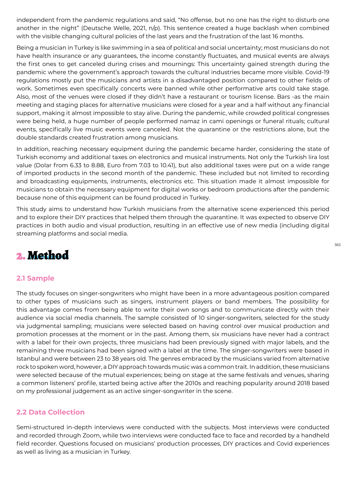independent from the pandemic regulations and said, "No offense, but no one has the right to disturb one another in the night" (Deutsche Welle, 2021, n/p). This sentence created a huge backlash when combined with the visible changing cultural policies of the last years and the frustration of the last 16 months.

Being a musician in Turkey is like swimming in a sea of political and social uncertainty; most musicians do not have health insurance or any guarantees, the income constantly fluctuates, and musical events are always the first ones to get canceled during crises and mournings: This uncertainty gained strength during the pandemic where the government's approach towards the cultural industries became more visible. Covid-19 regulations mostly put the musicians and artists in a disadvantaged position compared to other fields of work. Sometimes even specifically concerts were banned while other performative arts could take stage. Also, most of the venues were closed if they didn't have a restaurant or tourism license. Bars -as the main meeting and staging places for alternative musicians were closed for a year and a half without any financial support, making it almost impossible to stay alive. During the pandemic, while crowded political congresses were being held, a huge number of people performed namaz in cami openings or funeral rituals; cultural events, specifically live music events were canceled. Not the quarantine or the restrictions alone, but the double standards created frustration among musicians.

In addition, reaching necessary equipment during the pandemic became harder, considering the state of Turkish economy and additional taxes on electronics and musical instruments. Not only the Turkish lira lost value (Dolar from 6.33 to 8.88, Euro from 7.03 to 10.41), but also additional taxes were put on a wide range of imported products in the second month of the pandemic. These included but not limited to recording and broadcasting equipments, instruments, electronics etc. This situation made it almost impossible for musicians to obtain the necessary equipment for digital works or bedroom productions after the pandemic because none of this equipment can be found produced in Turkey.

This study aims to understand how Turkish musicians from the alternative scene experienced this period and to explore their DIY practices that helped them through the quarantine. It was expected to observe DIY practices in both audio and visual production, resulting in an effective use of new media (including digital streaming platforms and social media.

### 2. Method

#### **2.1 Sample**

The study focuses on singer-songwriters who might have been in a more advantageous position compared to other types of musicians such as singers, instrument players or band members. The possibility for this advantage comes from being able to write their own songs and to communicate directly with their audience via social media channels. The sample consisted of 10 singer-songwriters, selected for the study via judgmental sampling; musicians were selected based on having control over musical production and promotion processes at the moment or in the past. Among them, six musicians have never had a contract with a label for their own projects, three musicians had been previously signed with major labels, and the remaining three musicians had been signed with a label at the time. The singer-songwriters were based in Istanbul and were between 23 to 38 years old. The genres embraced by the musicians varied from alternative rock to spoken word, however, a DIY approach towards music was a common trait. In addition, these musicians were selected because of the mutual experiences; being on stage at the same festivals and venues, sharing a common listeners' profile, started being active after the 2010s and reaching popularity around 2018 based on my professional judgement as an active singer-songwriter in the scene.

#### **2.2 Data Collection**

Semi-structured in-depth interviews were conducted with the subjects. Most interviews were conducted and recorded through Zoom, while two interviews were conducted face to face and recorded by a handheld field recorder. Questions focused on musicians' production processes, DIY practices and Covid experiences as well as living as a musician in Turkey.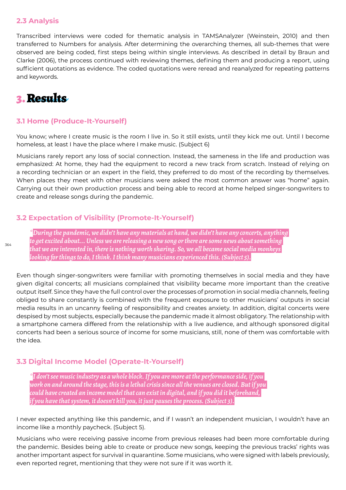#### **2.3 Analysis**

Transcribed interviews were coded for thematic analysis in TAMSAnalyzer (Weinstein, 2010) and then transferred to Numbers for analysis. After determining the overarching themes, all sub-themes that were observed are being coded, first steps being within single interviews. As described in detail by Braun and Clarke (2006), the process continued with reviewing themes, defining them and producing a report, using sufficient quotations as evidence. The coded quotations were reread and reanalyzed for repeating patterns and keywords.

### 3. Results

#### **3.1 Home (Produce-It-Yourself)**

You know; where I create music is the room I live in. So it still exists, until they kick me out. Until I become homeless, at least I have the place where I make music. (Subject 6)

Musicians rarely report any loss of social connection. Instead, the sameness in the life and production was emphasized: At home, they had the equipment to record a new track from scratch. Instead of relying on a recording technician or an expert in the field, they preferred to do most of the recording by themselves. When places they meet with other musicians were asked the most common answer was "home" again. Carrying out their own production process and being able to record at home helped singer-songwriters to create and release songs during the pandemic.

#### **3.2 Expectation of Visibility (Promote-It-Yourself)**

*\*During the pandemic, we didn't have any materials at hand, we didn't have any concerts, anything to get excited about... Unless we are releasing a new song or there are some news about something that we are interested in, there is nothing worth sharing. So, we all became social media monkeys looking for things to do, I think. I think many musicians experienced this. (Subject 5).*

Even though singer-songwriters were familiar with promoting themselves in social media and they have given digital concerts; all musicians complained that visibility became more important than the creative output itself. Since they have the full control over the processes of promotion in social media channels, feeling obliged to share constantly is combined with the frequent exposure to other musicians' outputs in social media results in an uncanny feeling of responsibility and creates anxiety. In addition, digital concerts were despised by most subjects, especially because the pandemic made it almost obligatory. The relationship with a smartphone camera differed from the relationship with a live audience, and although sponsored digital concerts had been a serious source of income for some musicians, still, none of them was comfortable with the idea.

#### **3.3 Digital Income Model (Operate-It-Yourself)**

*\*I don't see music industry as a whole block. If you are more at the performance side, if you work on and around the stage, this is a lethal crisis since all the venues are closed. But if you could have created an income model that can exist in digital, and if you did it beforehand, if you have that system, it doesn't kill you, it just pauses the process. (Subject 3).*

I never expected anything like this pandemic, and if I wasn't an independent musician, I wouldn't have an income like a monthly paycheck. (Subject 5).

Musicians who were receiving passive income from previous releases had been more comfortable during the pandemic. Besides being able to create or produce new songs, keeping the previous tracks' rights was another important aspect for survival in quarantine. Some musicians, who were signed with labels previously, even reported regret, mentioning that they were not sure if it was worth it.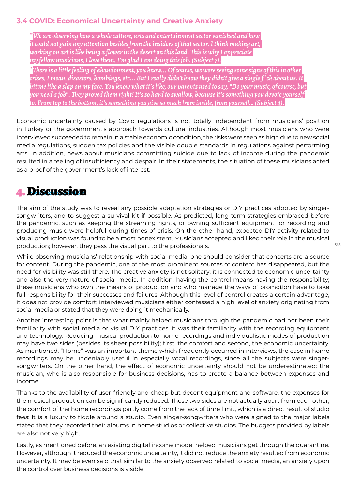### **3.4 COVID: Economical Uncertainty and Creative Anxiety**

*\*We are observing how a whole culture, arts and entertainment sector vanished and how it could not gain any attention besides from the insiders of that sector. I think making art, working on art is like being a flower in the desert on this land. This is why I appreciate my fellow musicians, I love them. I'm glad I am doing this job. (Subject 7).*

*\*There is a little feeling of abandonment, you know... Of course, we were seeing some signs of this in other crises, I mean, disasters, bombings, etc... But I really didn't know they didn't give a single f \*ck about us. It hit me like a slap on my face. You know what it's like, our parents used to say, "Do your music, of course, but you need a job". They proved them right! It's so hard to swallow, because it's something you devote yourself to. From top to the bottom, it's something you give so much from inside, from yourself… (Subject 4).*

Economic uncertainty caused by Covid regulations is not totally independent from musicians' position in Turkey or the government's approach towards cultural industries. Although most musicians who were interviewed succeeded to remain in a stable economic condition, the risks were seen as high due to new social media regulations, sudden tax policies and the visible double standards in regulations against performing arts. In addition, news about musicians committing suicide due to lack of income during the pandemic resulted in a feeling of insufficiency and despair. In their statements, the situation of these musicians acted as a proof of the government's lack of interest.

### 4. Discussion

The aim of the study was to reveal any possible adaptation strategies or DIY practices adopted by singersongwriters, and to suggest a survival kit if possible. As predicted, long term strategies embraced before the pandemic, such as keeping the streaming rights, or owning sufficient equipment for recording and producing music were helpful during times of crisis. On the other hand, expected DIY activity related to visual production was found to be almost nonexistent. Musicians accepted and liked their role in the musical production; however, they pass the visual part to the professionals.

While observing musicians' relationship with social media, one should consider that concerts are a source for content. During the pandemic, one of the most prominent sources of content has disappeared, but the need for visibility was still there. The creative anxiety is not solitary; it is connected to economic uncertainty and also the very nature of social media. In addition, having the control means having the responsibility; these musicians who own the means of production and who manage the ways of promotion have to take full responsibility for their successes and failures. Although this level of control creates a certain advantage, it does not provide comfort; interviewed musicians either confessed a high level of anxiety originating from social media or stated that they were doing it mechanically.

Another interesting point is that what mainly helped musicians through the pandemic had not been their familiarity with social media or visual DIY practices; it was their familiarity with the recording equipment and technology. Reducing musical production to home recordings and individualistic modes of production may have two sides (besides its sheer possibility); first, the comfort and second, the economic uncertainty. As mentioned, "Home" was an important theme which frequently occurred in interviews, the ease in home recordings may be undeniably useful in especially vocal recordings, since all the subjects were singersongwriters. On the other hand, the effect of economic uncertainty should not be underestimated; the musician, who is also responsible for business decisions, has to create a balance between expenses and income.

Thanks to the availability of user-friendly and cheap but decent equipment and software, the expenses for the musical production can be significantly reduced. These two sides are not actually apart from each other; the comfort of the home recordings partly come from the lack of time limit, which is a direct result of studio fees: It is a luxury to fiddle around a studio. Even singer-songwriters who were signed to the major labels stated that they recorded their albums in home studios or collective studios. The budgets provided by labels are also not very high.

Lastly, as mentioned before, an existing digital income model helped musicians get through the quarantine. However, although it reduced the economic uncertainty, it did not reduce the anxiety resulted from economic uncertainty. It may be even said that similar to the anxiety observed related to social media, an anxiety upon the control over business decisions is visible.